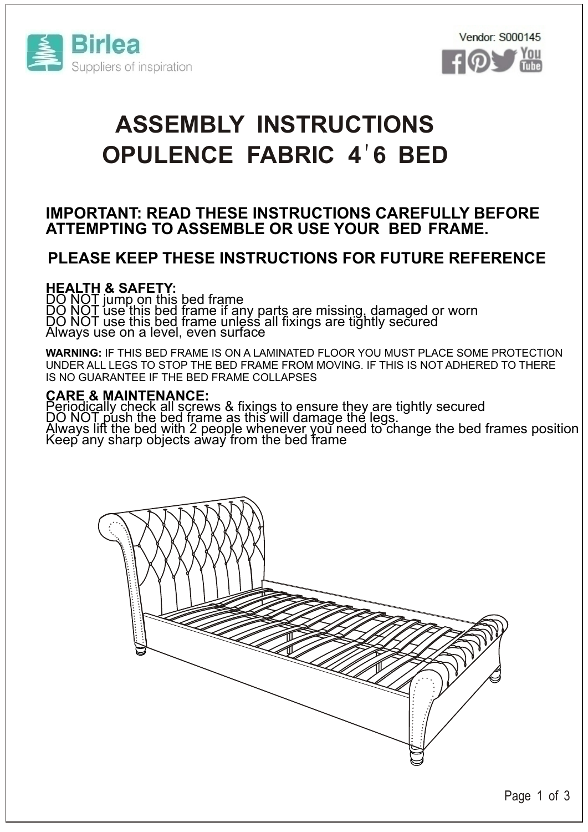



# **OPULENCE FABRIC 4**'**6 BED ASSEMBLY INSTRUCTIONS**

### **IMPORTANT: READ THESE INSTRUCTIONS CAREFULLY BEFORE ATTEMPTING TO ASSEMBLE OR USE YOUR BED FRAME.**

## **PLEASE KEEP THESE INSTRUCTIONS FOR FUTURE REFERENCE**

#### **HEALTH & SAFETY:**

DO NOT jump on this bed frame DO NOT use this bed frame if any parts are missing, damaged or worn DO NOT use this bed frame unless all fixings are tightly secured Always use on a level, even surface

**WARNING:** IF THIS BED FRAME IS ON A LAMINATED FLOOR YOU MUST PLACE SOME PROTECTION UNDER ALL LEGS TO STOP THE BED FRAME FROM MOVING. IF THIS IS NOT ADHERED TO THERE IS NO GUARANTEE IF THE BED FRAME COLLAPSES

#### **CARE & MAINTENANCE:**

Periodically check all screws & fixings to ensure they are tightly secured DO NOT push the bed frame as this will damage the legs. Always lift the bed with 2 people whenever you need to change the bed frames position Keep any sharp objects away from the bed frame

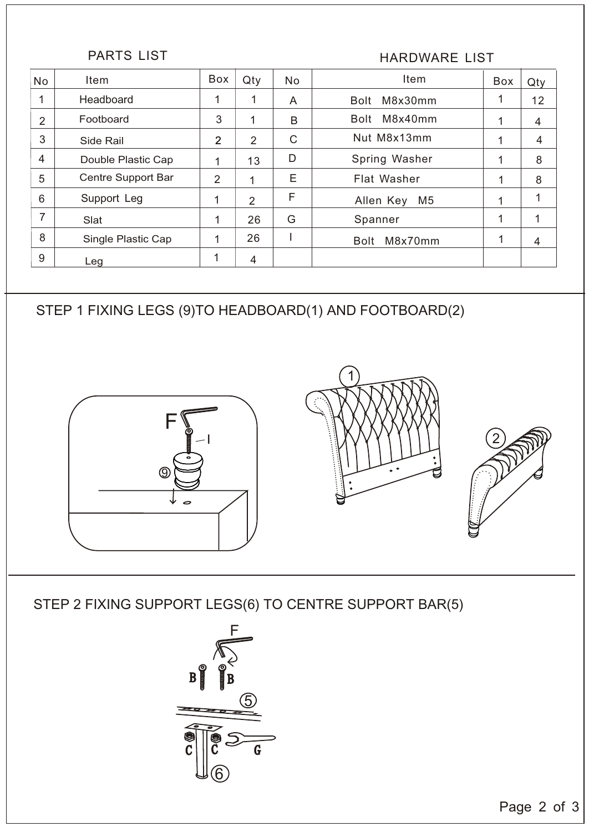PARTS LIST **HARDWARE LIST** 

| <b>No</b>      | Item               | Box            | Qty            | <b>No</b> | Item                        | Box | Qty            |
|----------------|--------------------|----------------|----------------|-----------|-----------------------------|-----|----------------|
| 1              | Headboard          |                | 1              | A         | M8x30mm<br>Bolt             |     | 12             |
| $\overline{2}$ | Footboard          | 3              |                | B         | M8x40mm<br>Bolt             |     | $\overline{4}$ |
| 3              | Side Rail          | $\overline{2}$ | $\overline{2}$ | C         | Nut M8x13mm                 | 1   | 4              |
| $\overline{4}$ | Double Plastic Cap |                | 13             | D         | Spring Washer               |     | 8              |
| 5              | Centre Support Bar | 2              | 4              | Ε         | Flat Washer                 |     | 8              |
| 6              | Support Leg        | 1              | $\overline{2}$ | F         | M <sub>5</sub><br>Allen Key | 1   | 1              |
| 7              | Slat               |                | 26             | G         | Spanner                     | 1   | 1              |
| 8              | Single Plastic Cap |                | 26             |           | M8x70mm<br><b>Bolt</b>      |     | $\overline{4}$ |
| 9              | Leg                | 1              | 4              |           |                             |     |                |

STEP 1 FIXING LEGS (9)TO HEADBOARD(1) AND FOOTBOARD(2)







STEP 2 FIXING SUPPORT LEGS(6) TO CENTRE SUPPORT BAR(5)